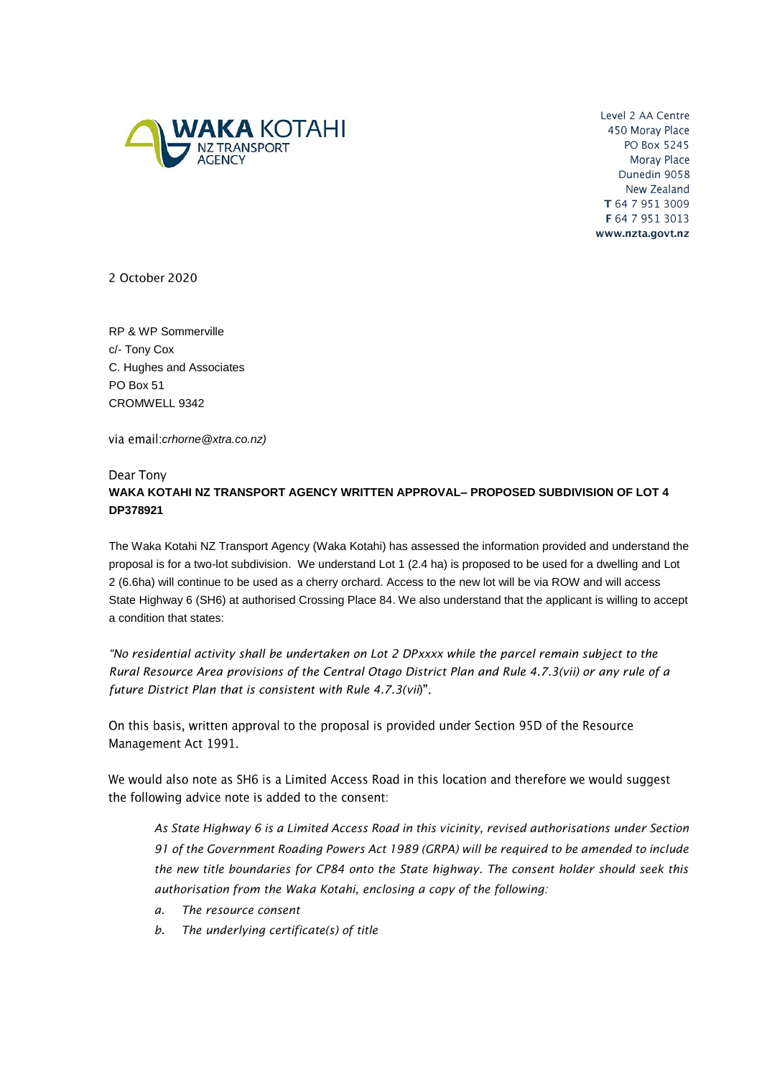

Level 2 AA Centre 450 Moray Place PO Box 5245 Moray Place Dunedin 9058 New Zealand T 64 7 951 3009 F 64 7 951 3013 www.nzta.govt.nz

2 October 2020

RP & WP Sommerville c/- Tony Cox C. Hughes and Associates PO Box 51 CROMWELL 9342

*crhorne@xtra.co.nz)*

## Dear Tony **WAKA KOTAHI NZ TRANSPORT AGENCY WRITTEN APPROVAL– PROPOSED SUBDIVISION OF LOT 4 DP378921**

The Waka Kotahi NZ Transport Agency (Waka Kotahi) has assessed the information provided and understand the proposal is for a two-lot subdivision. We understand Lot 1 (2.4 ha) is proposed to be used for a dwelling and Lot 2 (6.6ha) will continue to be used as a cherry orchard. Access to the new lot will be via ROW and will access State Highway 6 (SH6) at authorised Crossing Place 84. We also understand that the applicant is willing to accept a condition that states:

*"No residential activity shall be undertaken on Lot 2 DPxxxx while the parcel remain subject to the Rural Resource Area provisions of the Central Otago District Plan and Rule 4.7.3(vii) or any rule of a future District Plan that is consistent with Rule 4.7.3(vii*

On this basis, written approval to the proposal is provided under Section 95D of the Resource Management Act 1991.

We would also note as SH6 is a Limited Access Road in this location and therefore we would suggest the following advice note is added to the consent:

*As State Highway 6 is a Limited Access Road in this vicinity, revised authorisations under Section 91 of the Government Roading Powers Act 1989 (GRPA) will be required to be amended to include the new title boundaries for CP84 onto the State highway. The consent holder should seek this authorisation from the Waka Kotahi, enclosing a copy of the following:*

- *a. The resource consent*
- *b. The underlying certificate(s) of title*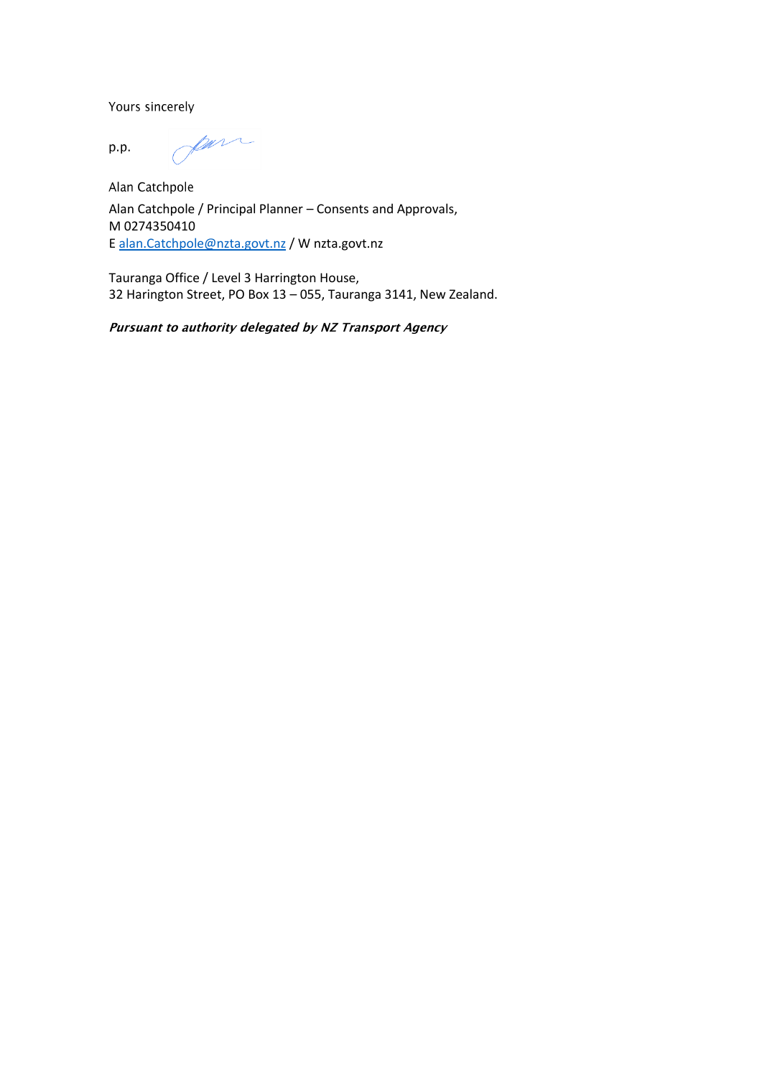Yours sincerely

para p.p.

Alan Catchpole Alan Catchpole / Principal Planner – Consents and Approvals, M 0274350410 E [alan.Catchpole@nzta.govt.nz](mailto:alan.Catchpole@nzta.govt.nz) / W nzta.govt.nz

Tauranga Office / Level 3 Harrington House, 32 Harington Street, PO Box 13 – 055, Tauranga 3141, New Zealand.

Pursuant to authority delegated by NZ Transport Agency